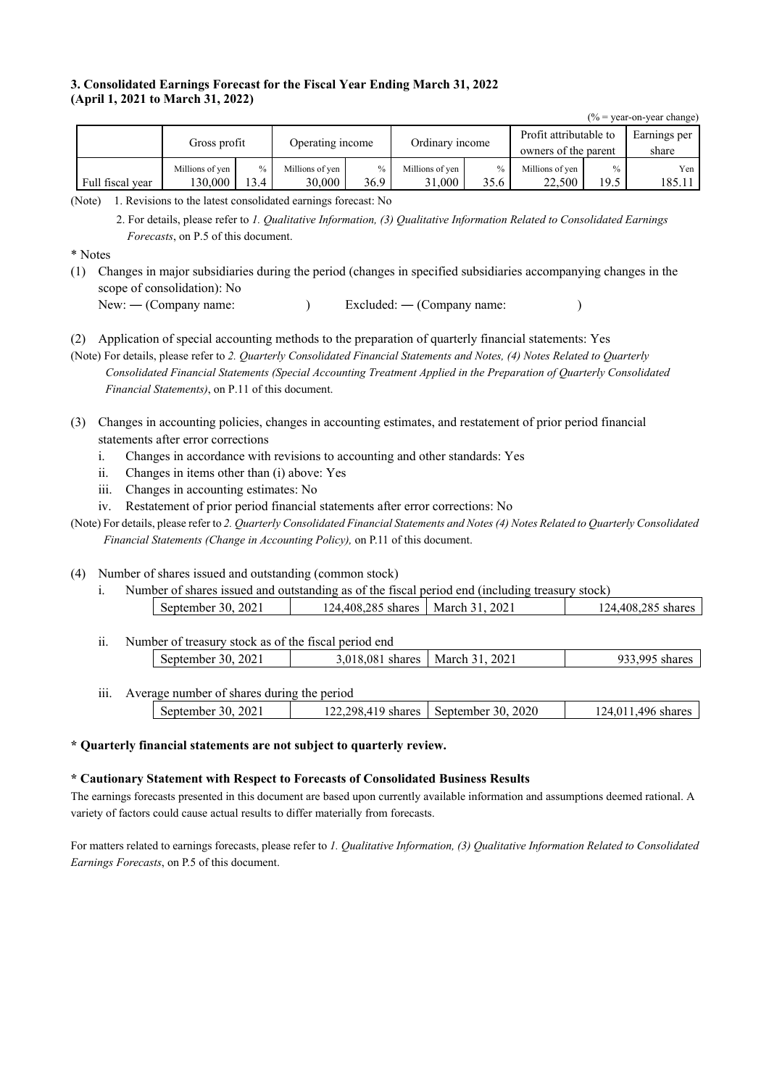### **3. Consolidated Earnings Forecast for the Fiscal Year Ending March 31, 2022 (April 1, 2021 to March 31, 2022)**

 $(% = year-on-year change)$ Gross profit Operating income Ordinary income Profit attributable to owners of the parent Earnings per share Millions of yen % Millions of yen % Millions of yen % Millions of yen % Yen Full fiscal year 130,000 13.4 30,000 36.9 31,000 35.6 22,500 19.5 185.11

(Note) 1. Revisions to the latest consolidated earnings forecast: No

2. For details, please refer to *1. Qualitative Information, (3) Qualitative Information Related to Consolidated Earnings Forecasts*, on P.5 of this document.

\* Notes

(1) Changes in major subsidiaries during the period (changes in specified subsidiaries accompanying changes in the scope of consolidation): No

New: — (Company name: ) Excluded: — (Company name: )

- (2) Application of special accounting methods to the preparation of quarterly financial statements: Yes
- (Note) For details, please refer to *2. Quarterly Consolidated Financial Statements and Notes, (4) Notes Related to Quarterly Consolidated Financial Statements (Special Accounting Treatment Applied in the Preparation of Quarterly Consolidated Financial Statements)*, on P.11 of this document.
- (3) Changes in accounting policies, changes in accounting estimates, and restatement of prior period financial statements after error corrections
	- i. Changes in accordance with revisions to accounting and other standards: Yes
	- ii. Changes in items other than (i) above: Yes
	- iii. Changes in accounting estimates: No
	- iv. Restatement of prior period financial statements after error corrections: No
- (Note) For details, please refer to *2. Quarterly Consolidated Financial Statements and Notes (4) Notes Related to Quarterly Consolidated Financial Statements (Change in Accounting Policy),* on P.11 of this document.

(4) Number of shares issued and outstanding (common stock)

- i. Number of shares issued and outstanding as of the fiscal period end (including treasury stock) September 30, 2021 124,408,285 shares March 31, 2021 124,408,285 shares
- ii. Number of treasury stock as of the fiscal period end September 30, 2021 3,018,081 shares March 31, 2021 933,995 shares

iii. Average number of shares during the period

| 202 <sub>1</sub><br>30.<br>September | a 102 208 410 s<br>shares<br>. | .2020<br>September 30. | 496<br>$\mathcal{74}$ .<br>shares |
|--------------------------------------|--------------------------------|------------------------|-----------------------------------|
|                                      |                                |                        |                                   |

**\* Quarterly financial statements are not subject to quarterly review.** 

### **\* Cautionary Statement with Respect to Forecasts of Consolidated Business Results**

The earnings forecasts presented in this document are based upon currently available information and assumptions deemed rational. A variety of factors could cause actual results to differ materially from forecasts.

For matters related to earnings forecasts, please refer to *1. Qualitative Information, (3) Qualitative Information Related to Consolidated Earnings Forecasts*, on P.5 of this document.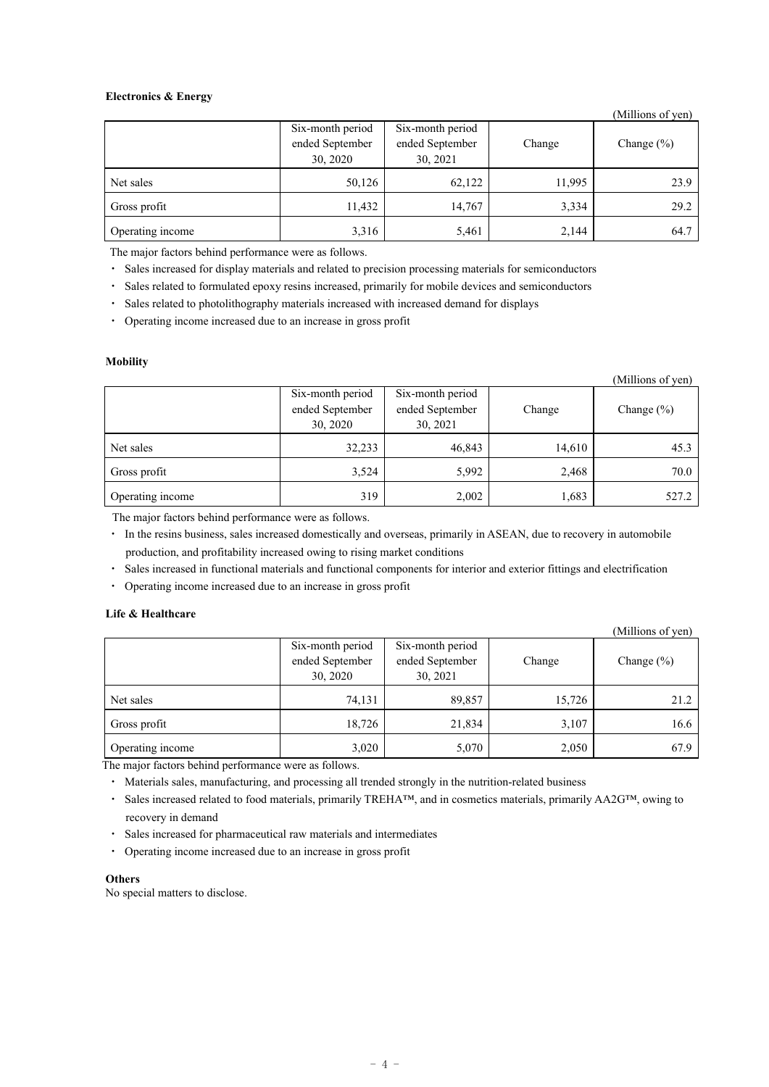### **Electronics & Energy**

|                  |                                      |                 |        | (Millions of yen) |  |
|------------------|--------------------------------------|-----------------|--------|-------------------|--|
|                  | Six-month period<br>Six-month period |                 |        |                   |  |
|                  | ended September                      | ended September | Change | Change $(\% )$    |  |
|                  | 30, 2020                             | 30, 2021        |        |                   |  |
| Net sales        | 50,126                               | 62,122          | 11,995 | 23.9              |  |
| Gross profit     | 11,432                               | 14,767          | 3,334  | 29.2              |  |
| Operating income | 3,316                                | 5,461           | 2,144  | 64.7              |  |

The major factors behind performance were as follows.

・ Sales increased for display materials and related to precision processing materials for semiconductors

・ Sales related to formulated epoxy resins increased, primarily for mobile devices and semiconductors

・ Sales related to photolithography materials increased with increased demand for displays

・ Operating income increased due to an increase in gross profit

#### **Mobility**

|                  |                  |                  |        | (Millions of yen) |  |
|------------------|------------------|------------------|--------|-------------------|--|
|                  | Six-month period | Six-month period |        |                   |  |
|                  | ended September  | ended September  | Change | Change $(\% )$    |  |
|                  | 30, 2020         | 30, 2021         |        |                   |  |
| Net sales        | 32,233           | 46,843           | 14,610 | 45.3              |  |
| Gross profit     | 3,524            | 5,992            | 2,468  | 70.0              |  |
| Operating income | 319              | 2,002            | 1,683  | 527.2             |  |

The major factors behind performance were as follows.

・ In the resins business, sales increased domestically and overseas, primarily in ASEAN, due to recovery in automobile production, and profitability increased owing to rising market conditions

・ Sales increased in functional materials and functional components for interior and exterior fittings and electrification

・ Operating income increased due to an increase in gross profit

### **Life & Healthcare**

|                  |                                                 |                                                 |        | (Millions of yen) |  |
|------------------|-------------------------------------------------|-------------------------------------------------|--------|-------------------|--|
|                  | Six-month period<br>ended September<br>30, 2020 | Six-month period<br>ended September<br>30, 2021 | Change | Change $(\% )$    |  |
| Net sales        | 74,131                                          | 89,857                                          | 15,726 | 21.2              |  |
| Gross profit     | 18,726                                          | 21,834                                          | 3,107  | 16.6              |  |
| Operating income | 3,020                                           | 5,070                                           | 2,050  | 67.9              |  |

The major factors behind performance were as follows.

・ Materials sales, manufacturing, and processing all trended strongly in the nutrition-related business

・ Sales increased related to food materials, primarily TREHA™, and in cosmetics materials, primarily AA2G™, owing to recovery in demand

- Sales increased for pharmaceutical raw materials and intermediates
- ・ Operating income increased due to an increase in gross profit

#### **Others**

No special matters to disclose.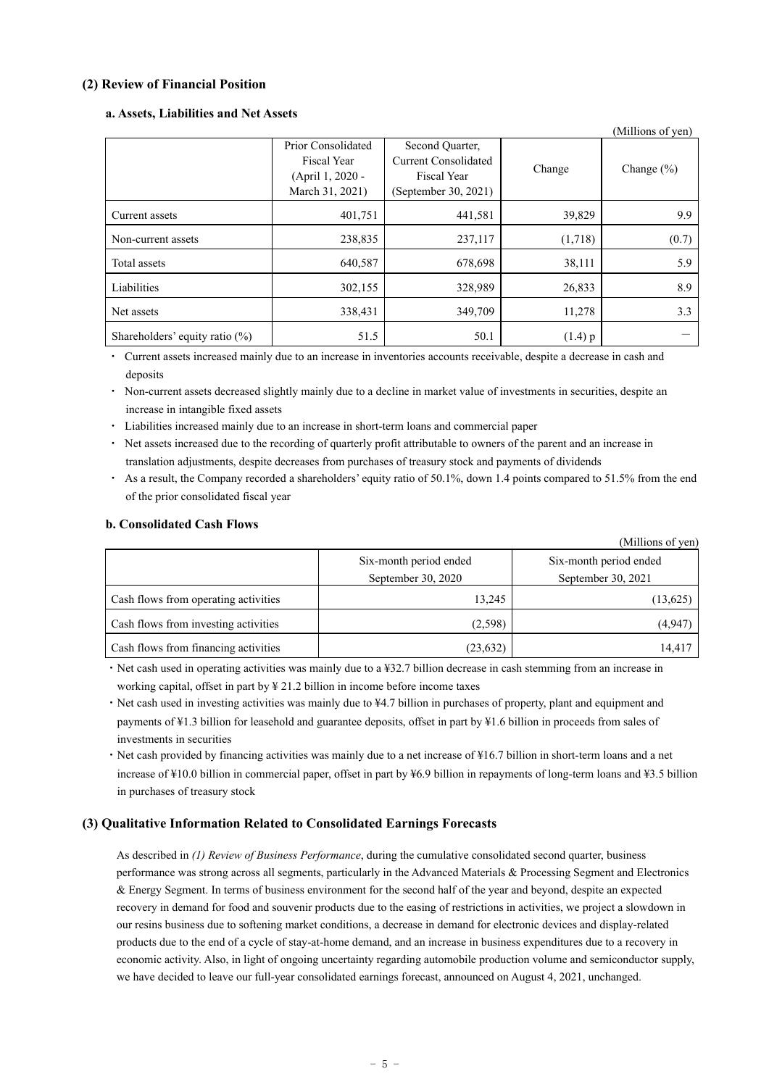## **(2) Review of Financial Position**

### **a. Assets, Liabilities and Net Assets**

|                                   |                    |                      |           | (Millions of yen) |  |
|-----------------------------------|--------------------|----------------------|-----------|-------------------|--|
|                                   | Prior Consolidated | Second Quarter,      |           |                   |  |
|                                   | Fiscal Year        | Current Consolidated | Change    | Change $(\% )$    |  |
|                                   | (April 1, 2020 -   | <b>Fiscal Year</b>   |           |                   |  |
|                                   | March 31, 2021)    | (September 30, 2021) |           |                   |  |
| Current assets                    | 401,751            | 441,581              | 39,829    | 9.9               |  |
| Non-current assets                | 238,835            | 237,117              | (1,718)   | (0.7)             |  |
| Total assets                      | 640,587            | 678,698              | 38,111    | 5.9               |  |
| Liabilities                       | 302,155            | 328,989              | 26,833    | 8.9               |  |
| Net assets                        | 338,431            | 349,709              | 11,278    | 3.3               |  |
| Shareholders' equity ratio $(\%)$ | 51.5               | 50.1                 | $(1.4)$ p |                   |  |

・ Current assets increased mainly due to an increase in inventories accounts receivable, despite a decrease in cash and deposits

Non-current assets decreased slightly mainly due to a decline in market value of investments in securities, despite an increase in intangible fixed assets

- ・ Liabilities increased mainly due to an increase in short-term loans and commercial paper
- ・ Net assets increased due to the recording of quarterly profit attributable to owners of the parent and an increase in translation adjustments, despite decreases from purchases of treasury stock and payments of dividends
- As a result, the Company recorded a shareholders' equity ratio of 50.1%, down 1.4 points compared to 51.5% from the end of the prior consolidated fiscal year

## **b. Consolidated Cash Flows**

|                                      |                                          | (Millions of yen)      |  |  |
|--------------------------------------|------------------------------------------|------------------------|--|--|
|                                      | Six-month period ended                   | Six-month period ended |  |  |
|                                      | September 30, 2020<br>September 30, 2021 |                        |  |  |
| Cash flows from operating activities | 13,245                                   | (13,625)               |  |  |
| Cash flows from investing activities | (2,598)                                  | (4,947)                |  |  |
| Cash flows from financing activities | (23, 632)                                | 14,417                 |  |  |

・Net cash used in operating activities was mainly due to a ¥32.7 billion decrease in cash stemming from an increase in working capital, offset in part by  $\frac{1}{2}$  21.2 billion in income before income taxes

・Net cash used in investing activities was mainly due to ¥4.7 billion in purchases of property, plant and equipment and payments of ¥1.3 billion for leasehold and guarantee deposits, offset in part by ¥1.6 billion in proceeds from sales of investments in securities

・Net cash provided by financing activities was mainly due to a net increase of ¥16.7 billion in short-term loans and a net increase of ¥10.0 billion in commercial paper, offset in part by ¥6.9 billion in repayments of long-term loans and ¥3.5 billion in purchases of treasury stock

## **(3) Qualitative Information Related to Consolidated Earnings Forecasts**

As described in *(1) Review of Business Performance*, during the cumulative consolidated second quarter, business performance was strong across all segments, particularly in the Advanced Materials & Processing Segment and Electronics & Energy Segment. In terms of business environment for the second half of the year and beyond, despite an expected recovery in demand for food and souvenir products due to the easing of restrictions in activities, we project a slowdown in our resins business due to softening market conditions, a decrease in demand for electronic devices and display-related products due to the end of a cycle of stay-at-home demand, and an increase in business expenditures due to a recovery in economic activity. Also, in light of ongoing uncertainty regarding automobile production volume and semiconductor supply, we have decided to leave our full-year consolidated earnings forecast, announced on August 4, 2021, unchanged.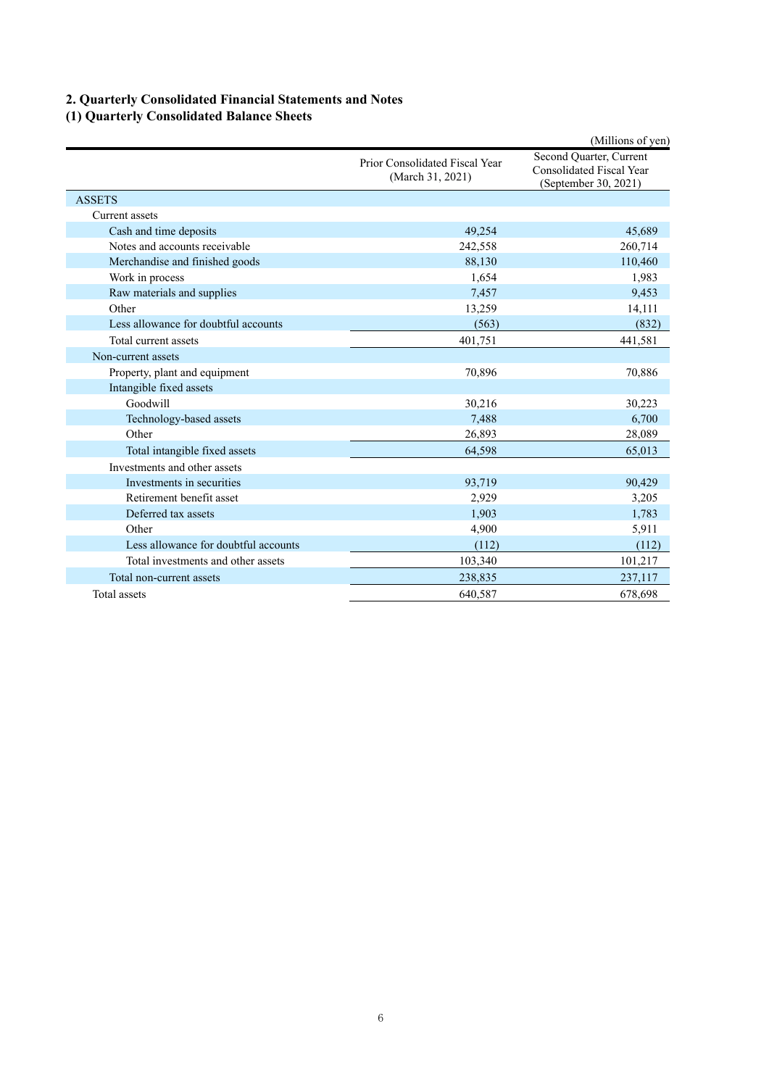# **2. Quarterly Consolidated Financial Statements and Notes**

# **(1) Quarterly Consolidated Balance Sheets**

|                                      |                                                    | (Millions of yen)                                                           |  |
|--------------------------------------|----------------------------------------------------|-----------------------------------------------------------------------------|--|
|                                      | Prior Consolidated Fiscal Year<br>(March 31, 2021) | Second Quarter, Current<br>Consolidated Fiscal Year<br>(September 30, 2021) |  |
| <b>ASSETS</b>                        |                                                    |                                                                             |  |
| Current assets                       |                                                    |                                                                             |  |
| Cash and time deposits               | 49.254                                             | 45,689                                                                      |  |
| Notes and accounts receivable        | 242,558                                            | 260,714                                                                     |  |
| Merchandise and finished goods       | 88,130                                             | 110,460                                                                     |  |
| Work in process                      | 1,654                                              | 1,983                                                                       |  |
| Raw materials and supplies           | 7,457                                              | 9,453                                                                       |  |
| Other                                | 13,259                                             | 14,111                                                                      |  |
| Less allowance for doubtful accounts | (563)                                              | (832)                                                                       |  |
| Total current assets                 | 401.751                                            | 441,581                                                                     |  |
| Non-current assets                   |                                                    |                                                                             |  |
| Property, plant and equipment        | 70,896                                             | 70,886                                                                      |  |
| Intangible fixed assets              |                                                    |                                                                             |  |
| Goodwill                             | 30,216                                             | 30,223                                                                      |  |
| Technology-based assets              | 7,488                                              | 6,700                                                                       |  |
| Other                                | 26,893                                             | 28,089                                                                      |  |
| Total intangible fixed assets        | 64,598                                             | 65,013                                                                      |  |
| Investments and other assets         |                                                    |                                                                             |  |
| Investments in securities            | 93,719                                             | 90.429                                                                      |  |
| Retirement benefit asset             | 2,929                                              | 3,205                                                                       |  |
| Deferred tax assets                  | 1,903                                              | 1,783                                                                       |  |
| Other                                | 4,900                                              | 5,911                                                                       |  |
| Less allowance for doubtful accounts | (112)                                              | (112)                                                                       |  |
| Total investments and other assets   | 103,340                                            | 101,217                                                                     |  |
| Total non-current assets             | 238,835                                            | 237,117                                                                     |  |
| Total assets                         | 640.587                                            | 678,698                                                                     |  |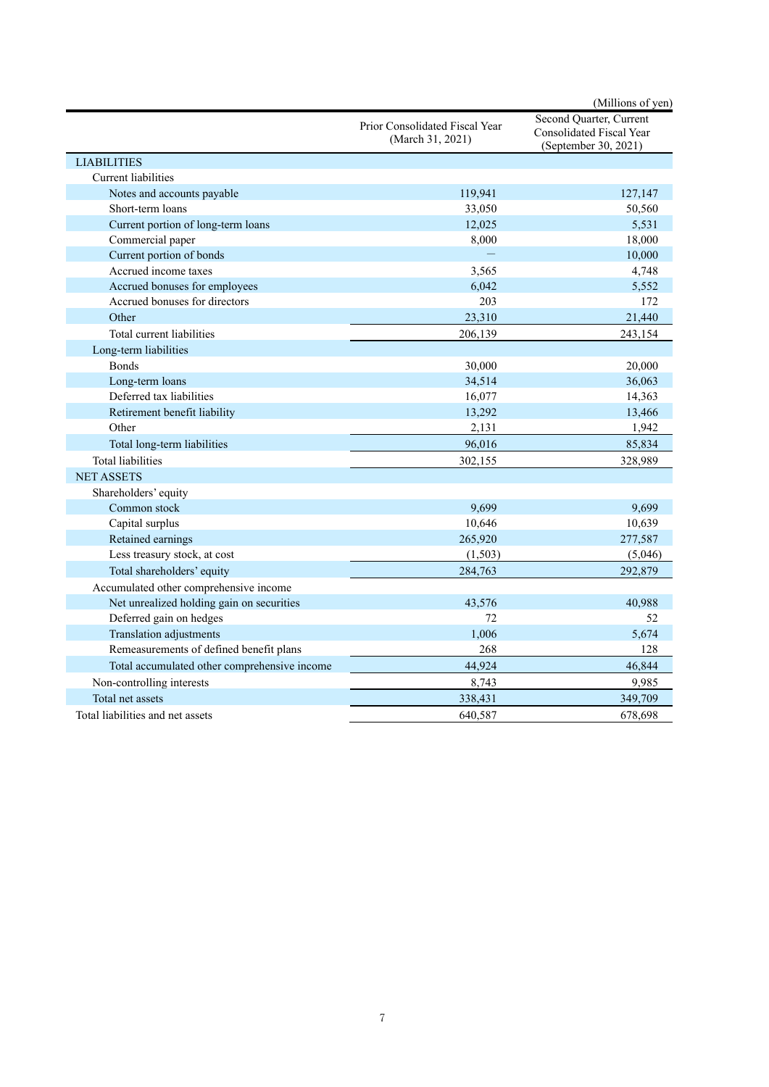|                                              |                                                    | (Millions of yen)                                                                  |
|----------------------------------------------|----------------------------------------------------|------------------------------------------------------------------------------------|
|                                              | Prior Consolidated Fiscal Year<br>(March 31, 2021) | Second Quarter, Current<br><b>Consolidated Fiscal Year</b><br>(September 30, 2021) |
| <b>LIABILITIES</b>                           |                                                    |                                                                                    |
| Current liabilities                          |                                                    |                                                                                    |
| Notes and accounts payable                   | 119,941                                            | 127,147                                                                            |
| Short-term loans                             | 33,050                                             | 50,560                                                                             |
| Current portion of long-term loans           | 12,025                                             | 5,531                                                                              |
| Commercial paper                             | 8,000                                              | 18,000                                                                             |
| Current portion of bonds                     | $\equiv$                                           | 10,000                                                                             |
| Accrued income taxes                         | 3,565                                              | 4,748                                                                              |
| Accrued bonuses for employees                | 6,042                                              | 5,552                                                                              |
| Accrued bonuses for directors                | 203                                                | 172                                                                                |
| Other                                        | 23,310                                             | 21,440                                                                             |
| Total current liabilities                    | 206,139                                            | 243,154                                                                            |
| Long-term liabilities                        |                                                    |                                                                                    |
| <b>Bonds</b>                                 | 30,000                                             | 20,000                                                                             |
| Long-term loans                              | 34,514                                             | 36,063                                                                             |
| Deferred tax liabilities                     | 16,077                                             | 14,363                                                                             |
| Retirement benefit liability                 | 13,292                                             | 13,466                                                                             |
| Other                                        | 2,131                                              | 1,942                                                                              |
| Total long-term liabilities                  | 96,016                                             | 85,834                                                                             |
| Total liabilities                            | 302,155                                            | 328,989                                                                            |
| <b>NET ASSETS</b>                            |                                                    |                                                                                    |
| Shareholders' equity                         |                                                    |                                                                                    |
| Common stock                                 | 9,699                                              | 9,699                                                                              |
| Capital surplus                              | 10,646                                             | 10,639                                                                             |
| Retained earnings                            | 265,920                                            | 277,587                                                                            |
| Less treasury stock, at cost                 | (1,503)                                            | (5,046)                                                                            |
| Total shareholders' equity                   | 284,763                                            | 292,879                                                                            |
| Accumulated other comprehensive income       |                                                    |                                                                                    |
| Net unrealized holding gain on securities    | 43,576                                             | 40,988                                                                             |
| Deferred gain on hedges                      | 72                                                 | 52                                                                                 |
| Translation adjustments                      | 1,006                                              | 5,674                                                                              |
| Remeasurements of defined benefit plans      | 268                                                | 128                                                                                |
| Total accumulated other comprehensive income | 44,924                                             | 46,844                                                                             |
| Non-controlling interests                    | 8,743                                              | 9,985                                                                              |
| Total net assets                             | 338,431                                            | 349,709                                                                            |
| Total liabilities and net assets             | 640.587                                            | 678,698                                                                            |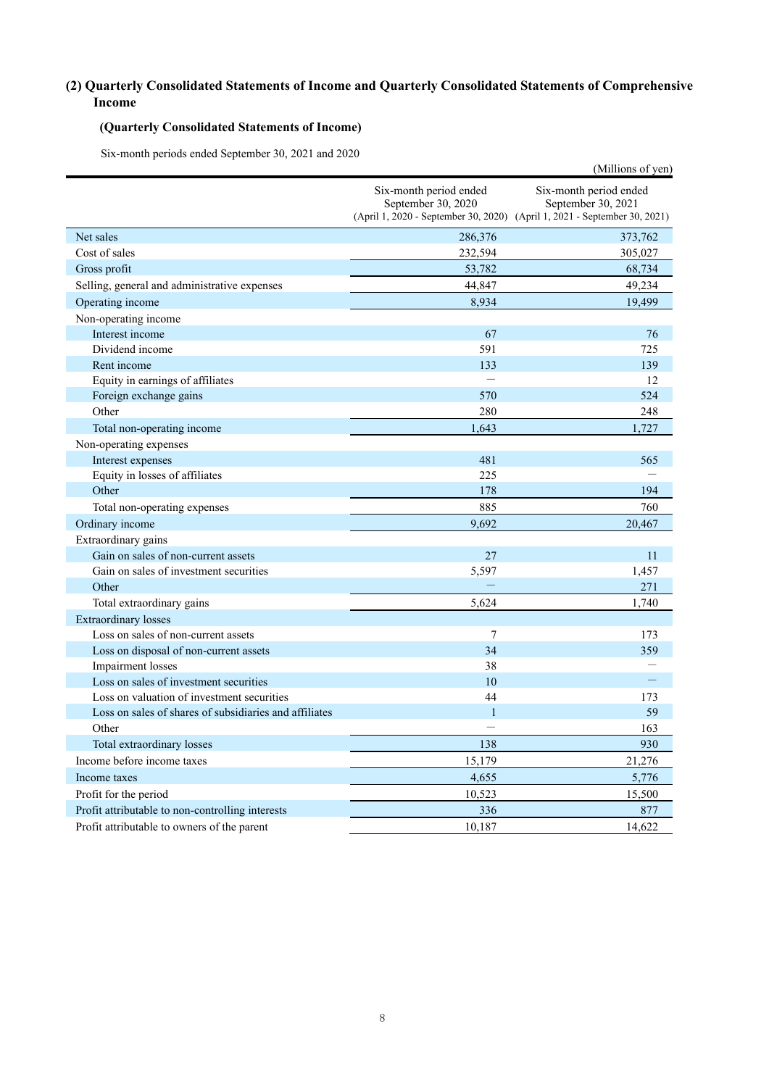# **(2) Quarterly Consolidated Statements of Income and Quarterly Consolidated Statements of Comprehensive Income**

# **(Quarterly Consolidated Statements of Income)**

Six-month periods ended September 30, 2021 and 2020

|                                                        |                                                                                                                           | (Millions of yen)                            |
|--------------------------------------------------------|---------------------------------------------------------------------------------------------------------------------------|----------------------------------------------|
|                                                        | Six-month period ended<br>September 30, 2020<br>(April 1, 2020 - September 30, 2020) (April 1, 2021 - September 30, 2021) | Six-month period ended<br>September 30, 2021 |
| Net sales                                              | 286,376                                                                                                                   | 373,762                                      |
| Cost of sales                                          | 232,594                                                                                                                   | 305,027                                      |
| Gross profit                                           | 53,782                                                                                                                    | 68,734                                       |
| Selling, general and administrative expenses           | 44,847                                                                                                                    | 49,234                                       |
| Operating income                                       | 8,934                                                                                                                     | 19,499                                       |
| Non-operating income                                   |                                                                                                                           |                                              |
| Interest income                                        | 67                                                                                                                        | 76                                           |
| Dividend income                                        | 591                                                                                                                       | 725                                          |
| Rent income                                            | 133                                                                                                                       | 139                                          |
| Equity in earnings of affiliates                       |                                                                                                                           | 12                                           |
| Foreign exchange gains                                 | 570                                                                                                                       | 524                                          |
| Other                                                  | 280                                                                                                                       | 248                                          |
| Total non-operating income                             | 1,643                                                                                                                     | 1,727                                        |
| Non-operating expenses                                 |                                                                                                                           |                                              |
| Interest expenses                                      | 481                                                                                                                       | 565                                          |
| Equity in losses of affiliates                         | 225                                                                                                                       |                                              |
| Other                                                  | 178                                                                                                                       | 194                                          |
| Total non-operating expenses                           | 885                                                                                                                       | 760                                          |
| Ordinary income                                        | 9,692                                                                                                                     | 20,467                                       |
| Extraordinary gains                                    |                                                                                                                           |                                              |
| Gain on sales of non-current assets                    | 27                                                                                                                        | 11                                           |
| Gain on sales of investment securities                 | 5,597                                                                                                                     | 1,457                                        |
| Other                                                  |                                                                                                                           | 271                                          |
| Total extraordinary gains                              | 5,624                                                                                                                     | 1,740                                        |
| <b>Extraordinary losses</b>                            |                                                                                                                           |                                              |
| Loss on sales of non-current assets                    | $7\phantom{.0}$                                                                                                           | 173                                          |
| Loss on disposal of non-current assets                 | 34                                                                                                                        | 359                                          |
| Impairment losses                                      | 38                                                                                                                        |                                              |
| Loss on sales of investment securities                 | 10                                                                                                                        |                                              |
| Loss on valuation of investment securities             | 44                                                                                                                        | 173                                          |
| Loss on sales of shares of subsidiaries and affiliates | $\mathbf{1}$                                                                                                              | 59                                           |
| Other                                                  |                                                                                                                           | 163                                          |
| Total extraordinary losses                             | 138                                                                                                                       | 930                                          |
| Income before income taxes                             | 15,179                                                                                                                    | 21,276                                       |
| Income taxes                                           | 4,655                                                                                                                     | 5,776                                        |
| Profit for the period                                  | 10,523                                                                                                                    | 15,500                                       |
| Profit attributable to non-controlling interests       | 336                                                                                                                       | 877                                          |
| Profit attributable to owners of the parent            | 10,187                                                                                                                    | 14,622                                       |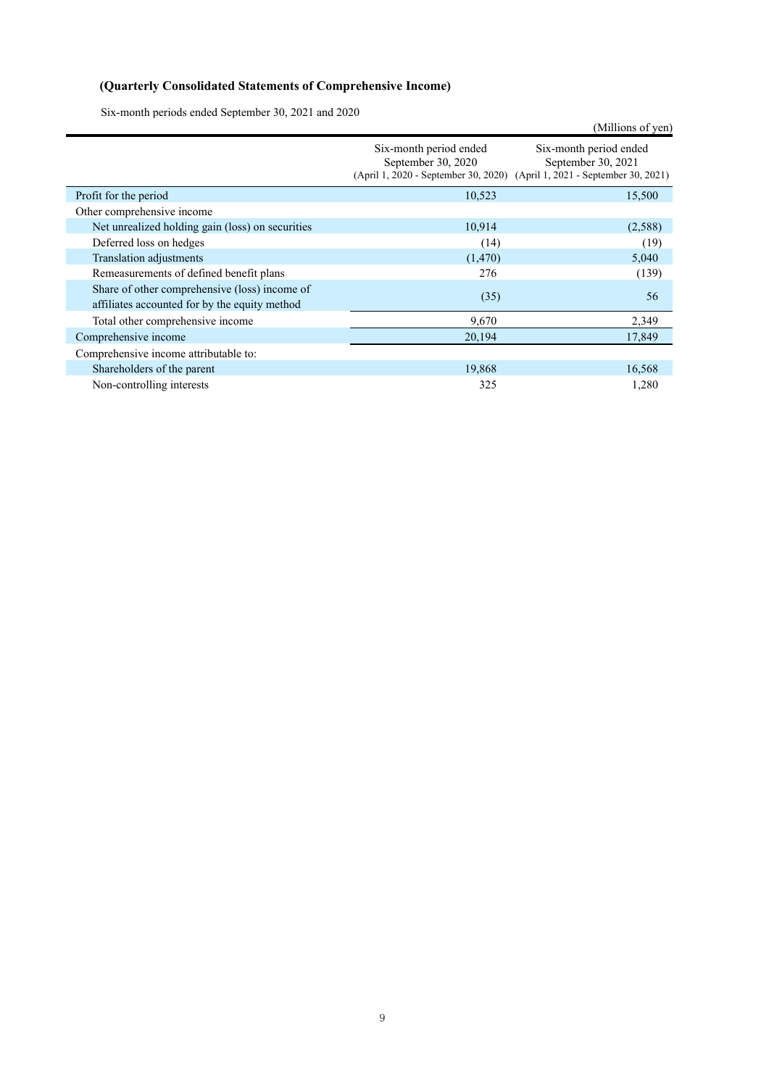# **(Quarterly Consolidated Statements of Comprehensive Income)**

Six-month periods ended September 30, 2021 and 2020

|                                                                                                |                                                                                                                           | (Millions of yen)                            |
|------------------------------------------------------------------------------------------------|---------------------------------------------------------------------------------------------------------------------------|----------------------------------------------|
|                                                                                                | Six-month period ended<br>September 30, 2020<br>(April 1, 2020 - September 30, 2020) (April 1, 2021 - September 30, 2021) | Six-month period ended<br>September 30, 2021 |
| Profit for the period                                                                          | 10,523                                                                                                                    | 15,500                                       |
| Other comprehensive income                                                                     |                                                                                                                           |                                              |
| Net unrealized holding gain (loss) on securities                                               | 10,914                                                                                                                    | (2,588)                                      |
| Deferred loss on hedges                                                                        | (14)                                                                                                                      | (19)                                         |
| <b>Translation adjustments</b>                                                                 | (1,470)                                                                                                                   | 5,040                                        |
| Remeasurements of defined benefit plans                                                        | 276                                                                                                                       | (139)                                        |
| Share of other comprehensive (loss) income of<br>affiliates accounted for by the equity method | (35)                                                                                                                      | 56                                           |
| Total other comprehensive income                                                               | 9,670                                                                                                                     | 2,349                                        |
| Comprehensive income                                                                           | 20,194                                                                                                                    | 17,849                                       |
| Comprehensive income attributable to:                                                          |                                                                                                                           |                                              |
| Shareholders of the parent                                                                     | 19,868                                                                                                                    | 16,568                                       |
| Non-controlling interests                                                                      | 325                                                                                                                       | 1,280                                        |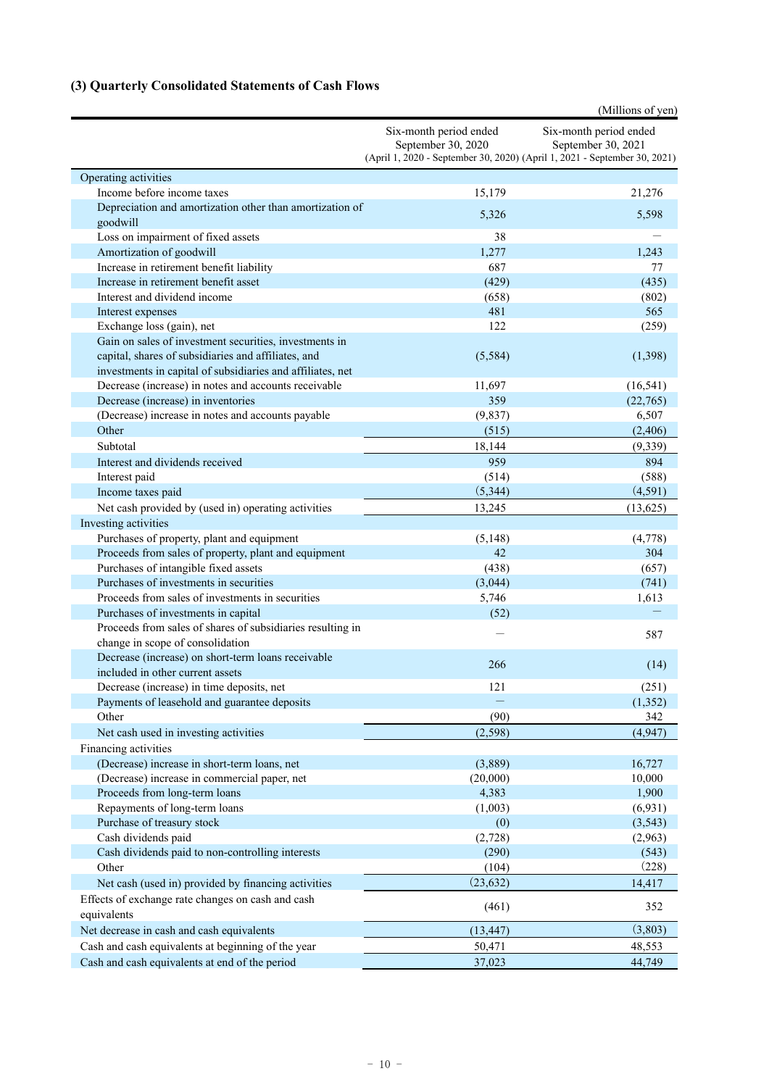# **(3) Quarterly Consolidated Statements of Cash Flows**

|                                                                                                                                                                             |                                                                                                                           | (Millions of yen)                            |
|-----------------------------------------------------------------------------------------------------------------------------------------------------------------------------|---------------------------------------------------------------------------------------------------------------------------|----------------------------------------------|
|                                                                                                                                                                             | Six-month period ended<br>September 30, 2020<br>(April 1, 2020 - September 30, 2020) (April 1, 2021 - September 30, 2021) | Six-month period ended<br>September 30, 2021 |
| Operating activities                                                                                                                                                        |                                                                                                                           |                                              |
| Income before income taxes                                                                                                                                                  | 15,179                                                                                                                    | 21,276                                       |
| Depreciation and amortization other than amortization of<br>goodwill                                                                                                        | 5,326                                                                                                                     | 5,598                                        |
| Loss on impairment of fixed assets                                                                                                                                          | 38                                                                                                                        |                                              |
| Amortization of goodwill                                                                                                                                                    | 1,277                                                                                                                     | 1,243                                        |
| Increase in retirement benefit liability                                                                                                                                    | 687                                                                                                                       | 77                                           |
| Increase in retirement benefit asset                                                                                                                                        | (429)                                                                                                                     | (435)                                        |
| Interest and dividend income                                                                                                                                                | (658)                                                                                                                     | (802)                                        |
| Interest expenses                                                                                                                                                           | 481                                                                                                                       | 565                                          |
| Exchange loss (gain), net                                                                                                                                                   | 122                                                                                                                       | (259)                                        |
| Gain on sales of investment securities, investments in<br>capital, shares of subsidiaries and affiliates, and<br>investments in capital of subsidiaries and affiliates, net | (5,584)                                                                                                                   | (1,398)                                      |
| Decrease (increase) in notes and accounts receivable                                                                                                                        | 11,697                                                                                                                    | (16, 541)                                    |
| Decrease (increase) in inventories                                                                                                                                          | 359                                                                                                                       | (22,765)                                     |
| (Decrease) increase in notes and accounts payable                                                                                                                           | (9,837)                                                                                                                   | 6,507                                        |
| Other                                                                                                                                                                       | (515)                                                                                                                     | (2,406)                                      |
| Subtotal                                                                                                                                                                    | 18,144                                                                                                                    | (9, 339)                                     |
| Interest and dividends received                                                                                                                                             | 959                                                                                                                       | 894                                          |
| Interest paid                                                                                                                                                               | (514)                                                                                                                     | (588)                                        |
| Income taxes paid                                                                                                                                                           | (5,344)                                                                                                                   | (4,591)                                      |
| Net cash provided by (used in) operating activities                                                                                                                         | 13,245                                                                                                                    | (13,625)                                     |
| Investing activities                                                                                                                                                        |                                                                                                                           |                                              |
| Purchases of property, plant and equipment                                                                                                                                  | (5, 148)                                                                                                                  | (4,778)                                      |
| Proceeds from sales of property, plant and equipment                                                                                                                        | 42                                                                                                                        | 304                                          |
| Purchases of intangible fixed assets                                                                                                                                        | (438)                                                                                                                     | (657)                                        |
| Purchases of investments in securities                                                                                                                                      | (3,044)                                                                                                                   | (741)                                        |
| Proceeds from sales of investments in securities                                                                                                                            | 5,746                                                                                                                     | 1,613                                        |
| Purchases of investments in capital                                                                                                                                         | (52)                                                                                                                      |                                              |
| Proceeds from sales of shares of subsidiaries resulting in<br>change in scope of consolidation                                                                              |                                                                                                                           | 587                                          |
| Decrease (increase) on short-term loans receivable<br>included in other current assets                                                                                      | 266                                                                                                                       | (14)                                         |
| Decrease (increase) in time deposits, net                                                                                                                                   | 121                                                                                                                       | (251)                                        |
| Payments of leasehold and guarantee deposits                                                                                                                                |                                                                                                                           | (1, 352)                                     |
| Other                                                                                                                                                                       | (90)                                                                                                                      | 342                                          |
| Net cash used in investing activities                                                                                                                                       | (2, 598)                                                                                                                  | (4,947)                                      |
| Financing activities                                                                                                                                                        |                                                                                                                           |                                              |
| (Decrease) increase in short-term loans, net                                                                                                                                | (3,889)                                                                                                                   | 16,727                                       |
| (Decrease) increase in commercial paper, net                                                                                                                                | (20,000)                                                                                                                  | 10,000                                       |
| Proceeds from long-term loans                                                                                                                                               | 4,383                                                                                                                     | 1,900                                        |
| Repayments of long-term loans                                                                                                                                               | (1,003)                                                                                                                   | (6,931)                                      |
| Purchase of treasury stock                                                                                                                                                  | (0)                                                                                                                       | (3,543)                                      |
| Cash dividends paid                                                                                                                                                         | (2,728)                                                                                                                   | (2,963)                                      |
| Cash dividends paid to non-controlling interests                                                                                                                            | (290)                                                                                                                     | (543)                                        |
| Other                                                                                                                                                                       | (104)                                                                                                                     | (228)                                        |
| Net cash (used in) provided by financing activities                                                                                                                         | (23, 632)                                                                                                                 | 14,417                                       |
| Effects of exchange rate changes on cash and cash<br>equivalents                                                                                                            | (461)                                                                                                                     | 352                                          |
| Net decrease in cash and cash equivalents                                                                                                                                   | (13, 447)                                                                                                                 | (3,803)                                      |
| Cash and cash equivalents at beginning of the year                                                                                                                          | 50,471                                                                                                                    | 48,553                                       |
| Cash and cash equivalents at end of the period                                                                                                                              | 37,023                                                                                                                    | 44,749                                       |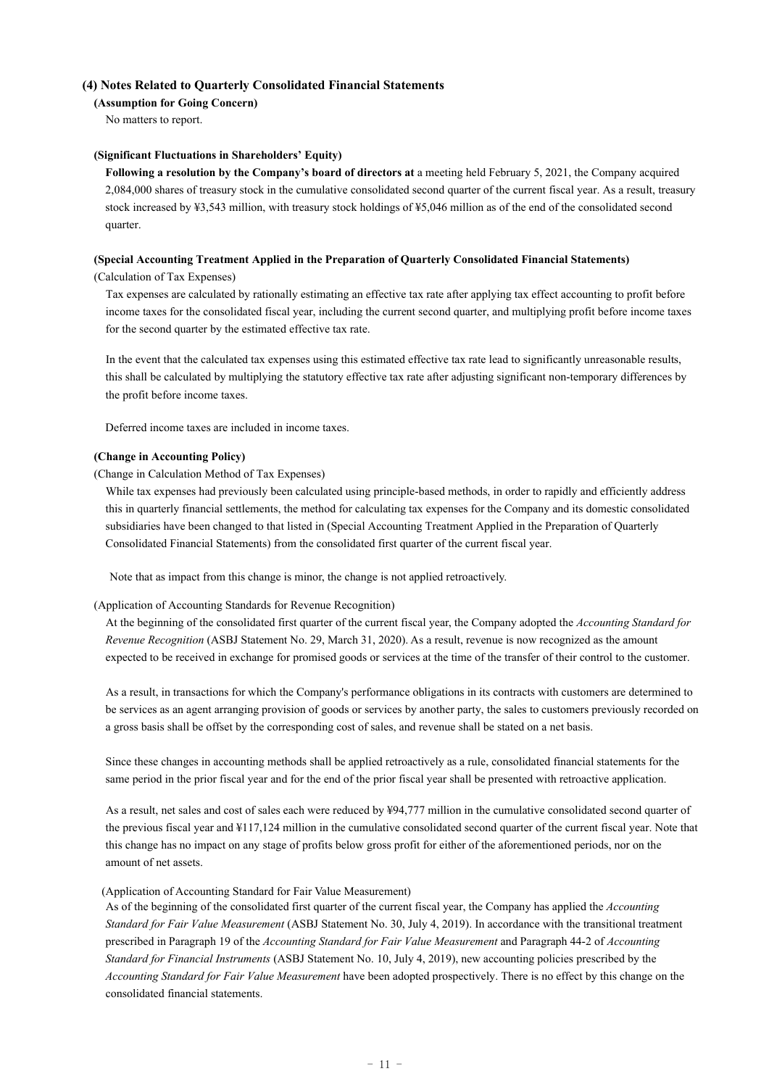### **(4) Notes Related to Quarterly Consolidated Financial Statements**

#### **(Assumption for Going Concern)**

No matters to report.

#### **(Significant Fluctuations in Shareholders' Equity)**

 **Following a resolution by the Company's board of directors at** a meeting held February 5, 2021, the Company acquired 2,084,000 shares of treasury stock in the cumulative consolidated second quarter of the current fiscal year. As a result, treasury stock increased by ¥3,543 million, with treasury stock holdings of ¥5,046 million as of the end of the consolidated second quarter.

#### **(Special Accounting Treatment Applied in the Preparation of Quarterly Consolidated Financial Statements)**

### (Calculation of Tax Expenses)

 Tax expenses are calculated by rationally estimating an effective tax rate after applying tax effect accounting to profit before income taxes for the consolidated fiscal year, including the current second quarter, and multiplying profit before income taxes for the second quarter by the estimated effective tax rate.

 In the event that the calculated tax expenses using this estimated effective tax rate lead to significantly unreasonable results, this shall be calculated by multiplying the statutory effective tax rate after adjusting significant non-temporary differences by the profit before income taxes.

Deferred income taxes are included in income taxes.

#### **(Change in Accounting Policy)**

#### (Change in Calculation Method of Tax Expenses)

While tax expenses had previously been calculated using principle-based methods, in order to rapidly and efficiently address this in quarterly financial settlements, the method for calculating tax expenses for the Company and its domestic consolidated subsidiaries have been changed to that listed in (Special Accounting Treatment Applied in the Preparation of Quarterly Consolidated Financial Statements) from the consolidated first quarter of the current fiscal year.

Note that as impact from this change is minor, the change is not applied retroactively.

### (Application of Accounting Standards for Revenue Recognition)

 At the beginning of the consolidated first quarter of the current fiscal year, the Company adopted the *Accounting Standard for Revenue Recognition* (ASBJ Statement No. 29, March 31, 2020). As a result, revenue is now recognized as the amount expected to be received in exchange for promised goods or services at the time of the transfer of their control to the customer.

 As a result, in transactions for which the Company's performance obligations in its contracts with customers are determined to be services as an agent arranging provision of goods or services by another party, the sales to customers previously recorded on a gross basis shall be offset by the corresponding cost of sales, and revenue shall be stated on a net basis.

Since these changes in accounting methods shall be applied retroactively as a rule, consolidated financial statements for the same period in the prior fiscal year and for the end of the prior fiscal year shall be presented with retroactive application.

 As a result, net sales and cost of sales each were reduced by ¥94,777 million in the cumulative consolidated second quarter of the previous fiscal year and ¥117,124 million in the cumulative consolidated second quarter of the current fiscal year. Note that this change has no impact on any stage of profits below gross profit for either of the aforementioned periods, nor on the amount of net assets.

#### (Application of Accounting Standard for Fair Value Measurement)

 As of the beginning of the consolidated first quarter of the current fiscal year, the Company has applied the *Accounting Standard for Fair Value Measurement* (ASBJ Statement No. 30, July 4, 2019). In accordance with the transitional treatment prescribed in Paragraph 19 of the *Accounting Standard for Fair Value Measurement* and Paragraph 44-2 of *Accounting Standard for Financial Instruments* (ASBJ Statement No. 10, July 4, 2019), new accounting policies prescribed by the *Accounting Standard for Fair Value Measurement* have been adopted prospectively. There is no effect by this change on the consolidated financial statements.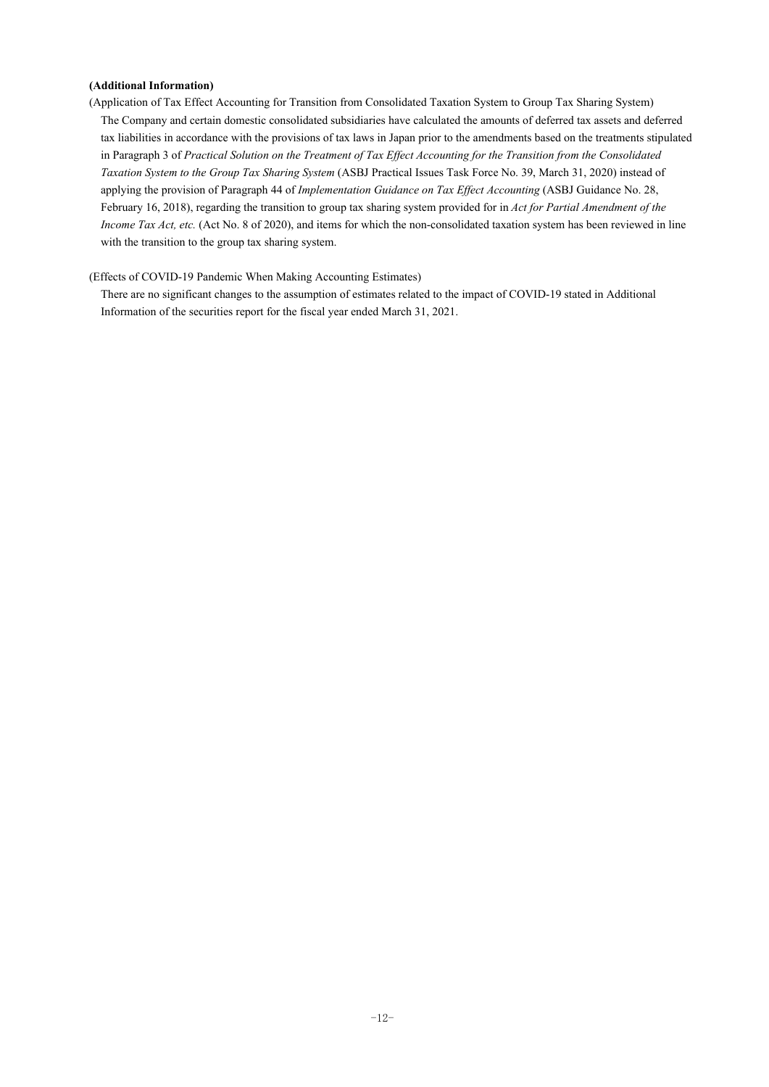### **(Additional Information)**

(Application of Tax Effect Accounting for Transition from Consolidated Taxation System to Group Tax Sharing System) The Company and certain domestic consolidated subsidiaries have calculated the amounts of deferred tax assets and deferred tax liabilities in accordance with the provisions of tax laws in Japan prior to the amendments based on the treatments stipulated in Paragraph 3 of *Practical Solution on the Treatment of Tax Effect Accounting for the Transition from the Consolidated Taxation System to the Group Tax Sharing System* (ASBJ Practical Issues Task Force No. 39, March 31, 2020) instead of applying the provision of Paragraph 44 of *Implementation Guidance on Tax Effect Accounting* (ASBJ Guidance No. 28, February 16, 2018), regarding the transition to group tax sharing system provided for in *Act for Partial Amendment of the Income Tax Act, etc.* (Act No. 8 of 2020), and items for which the non-consolidated taxation system has been reviewed in line with the transition to the group tax sharing system.

(Effects of COVID-19 Pandemic When Making Accounting Estimates)

 There are no significant changes to the assumption of estimates related to the impact of COVID-19 stated in Additional Information of the securities report for the fiscal year ended March 31, 2021.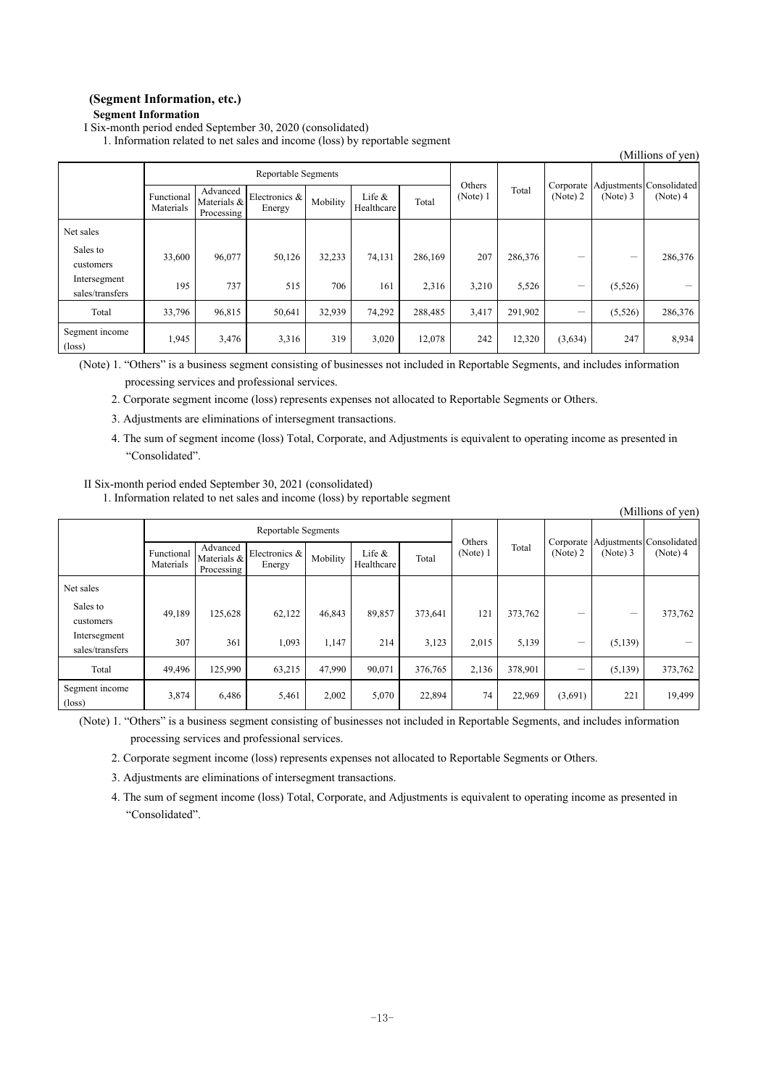$(M)$ llions of yen)

### **(Segment Information, etc.) Segment Information**

I Six-month period ended September 30, 2020 (consolidated)

1. Information related to net sales and income (loss) by reportable segment

| (Millions of yen)                 |                         |                                       |                         |          |                        |         |                    |         |                       |          |                                      |
|-----------------------------------|-------------------------|---------------------------------------|-------------------------|----------|------------------------|---------|--------------------|---------|-----------------------|----------|--------------------------------------|
|                                   | Reportable Segments     |                                       |                         |          |                        |         |                    |         |                       |          |                                      |
|                                   | Functional<br>Materials | Advanced<br>Materials &<br>Processing | Electronics &<br>Energy | Mobility | Life $&$<br>Healthcare | Total   | Others<br>(Note) 1 | Total   | Corporate<br>(Note) 2 | (Note) 3 | Adjustments Consolidated<br>(Note) 4 |
| Net sales                         |                         |                                       |                         |          |                        |         |                    |         |                       |          |                                      |
| Sales to<br>customers             | 33,600                  | 96,077                                | 50,126                  | 32,233   | 74,131                 | 286,169 | 207                | 286,376 | -                     | -        | 286,376                              |
| Intersegment<br>sales/transfers   | 195                     | 737                                   | 515                     | 706      | 161                    | 2,316   | 3,210              | 5,526   |                       | (5,526)  |                                      |
| Total                             | 33,796                  | 96,815                                | 50,641                  | 32,939   | 74,292                 | 288,485 | 3,417              | 291,902 |                       | (5,526)  | 286,376                              |
| Segment income<br>$(\text{loss})$ | 1,945                   | 3,476                                 | 3,316                   | 319      | 3,020                  | 12,078  | 242                | 12,320  | (3,634)               | 247      | 8,934                                |

(Note) 1. "Others" is a business segment consisting of businesses not included in Reportable Segments, and includes information

processing services and professional services.

2. Corporate segment income (loss) represents expenses not allocated to Reportable Segments or Others.

- 3. Adjustments are eliminations of intersegment transactions.
- 4. The sum of segment income (loss) Total, Corporate, and Adjustments is equivalent to operating income as presented in "Consolidated".

#### II Six-month period ended September 30, 2021 (consolidated)

1. Information related to net sales and income (loss) by reportable segment

|                                   |                         |                                       |                         |          |                         |         |                    |         |          |                                                  | нишону от успј |
|-----------------------------------|-------------------------|---------------------------------------|-------------------------|----------|-------------------------|---------|--------------------|---------|----------|--------------------------------------------------|----------------|
|                                   | Reportable Segments     |                                       |                         |          |                         |         |                    |         |          |                                                  |                |
|                                   | Functional<br>Materials | Advanced<br>Materials &<br>Processing | Electronics &<br>Energy | Mobility | Life $\&$<br>Healthcare | Total   | Others<br>(Note) 1 | Total   | (Note) 2 | Corporate Adjustments Consolidated<br>$(Note)$ 3 | (Note) 4       |
| Net sales                         |                         |                                       |                         |          |                         |         |                    |         |          |                                                  |                |
| Sales to<br>customers             | 49,189                  | 125,628                               | 62,122                  | 46,843   | 89,857                  | 373,641 | 121                | 373,762 |          |                                                  | 373,762        |
| Intersegment<br>sales/transfers   | 307                     | 361                                   | 1,093                   | 1,147    | 214                     | 3,123   | 2,015              | 5,139   | -        | (5, 139)                                         |                |
| Total                             | 49.496                  | 125,990                               | 63,215                  | 47,990   | 90,071                  | 376,765 | 2,136              | 378,901 | -        | (5, 139)                                         | 373,762        |
| Segment income<br>$(\text{loss})$ | 3,874                   | 6,486                                 | 5,461                   | 2,002    | 5,070                   | 22,894  | 74                 | 22,969  | (3,691)  | 221                                              | 19,499         |

(Note) 1. "Others" is a business segment consisting of businesses not included in Reportable Segments, and includes information processing services and professional services.

2. Corporate segment income (loss) represents expenses not allocated to Reportable Segments or Others.

3. Adjustments are eliminations of intersegment transactions.

4. The sum of segment income (loss) Total, Corporate, and Adjustments is equivalent to operating income as presented in "Consolidated".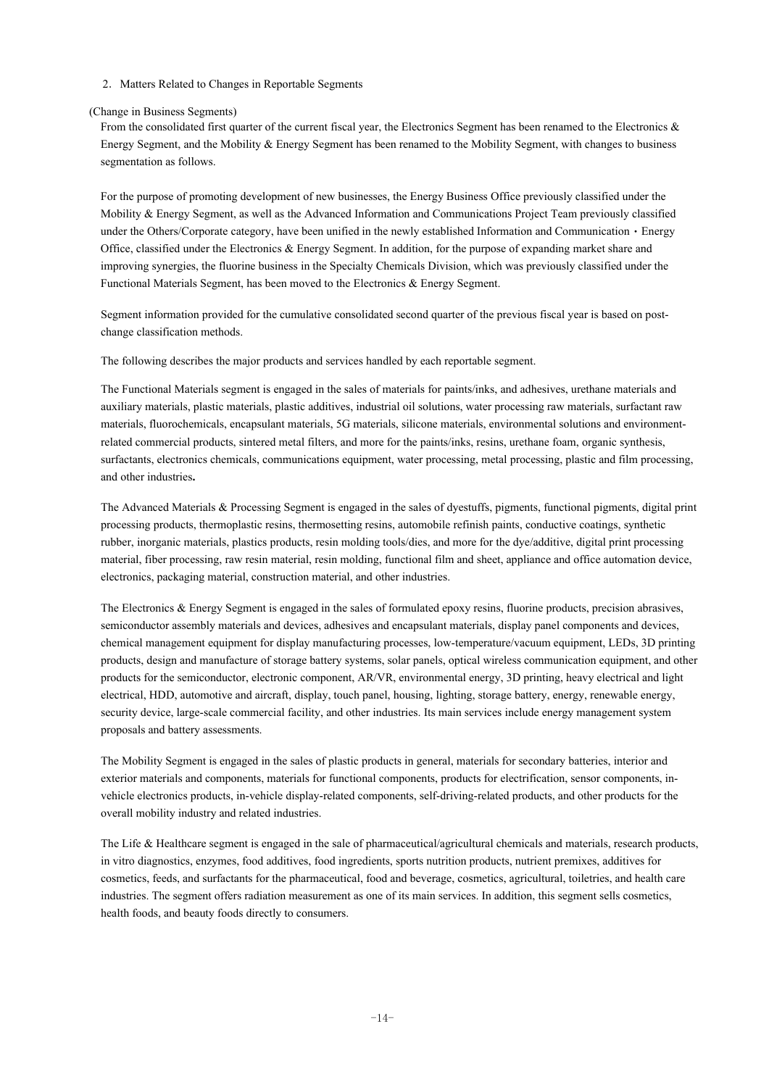2. Matters Related to Changes in Reportable Segments

#### (Change in Business Segments)

From the consolidated first quarter of the current fiscal year, the Electronics Segment has been renamed to the Electronics & Energy Segment, and the Mobility & Energy Segment has been renamed to the Mobility Segment, with changes to business segmentation as follows.

 For the purpose of promoting development of new businesses, the Energy Business Office previously classified under the Mobility & Energy Segment, as well as the Advanced Information and Communications Project Team previously classified under the Others/Corporate category, have been unified in the newly established Information and Communication · Energy Office, classified under the Electronics & Energy Segment. In addition, for the purpose of expanding market share and improving synergies, the fluorine business in the Specialty Chemicals Division, which was previously classified under the Functional Materials Segment, has been moved to the Electronics & Energy Segment.

 Segment information provided for the cumulative consolidated second quarter of the previous fiscal year is based on postchange classification methods.

The following describes the major products and services handled by each reportable segment.

 The Functional Materials segment is engaged in the sales of materials for paints/inks, and adhesives, urethane materials and auxiliary materials, plastic materials, plastic additives, industrial oil solutions, water processing raw materials, surfactant raw materials, fluorochemicals, encapsulant materials, 5G materials, silicone materials, environmental solutions and environmentrelated commercial products, sintered metal filters, and more for the paints/inks, resins, urethane foam, organic synthesis, surfactants, electronics chemicals, communications equipment, water processing, metal processing, plastic and film processing, and other industries**.** 

The Advanced Materials & Processing Segment is engaged in the sales of dyestuffs, pigments, functional pigments, digital print processing products, thermoplastic resins, thermosetting resins, automobile refinish paints, conductive coatings, synthetic rubber, inorganic materials, plastics products, resin molding tools/dies, and more for the dye/additive, digital print processing material, fiber processing, raw resin material, resin molding, functional film and sheet, appliance and office automation device, electronics, packaging material, construction material, and other industries.

 The Electronics & Energy Segment is engaged in the sales of formulated epoxy resins, fluorine products, precision abrasives, semiconductor assembly materials and devices, adhesives and encapsulant materials, display panel components and devices, chemical management equipment for display manufacturing processes, low-temperature/vacuum equipment, LEDs, 3D printing products, design and manufacture of storage battery systems, solar panels, optical wireless communication equipment, and other products for the semiconductor, electronic component, AR/VR, environmental energy, 3D printing, heavy electrical and light electrical, HDD, automotive and aircraft, display, touch panel, housing, lighting, storage battery, energy, renewable energy, security device, large-scale commercial facility, and other industries. Its main services include energy management system proposals and battery assessments.

 The Mobility Segment is engaged in the sales of plastic products in general, materials for secondary batteries, interior and exterior materials and components, materials for functional components, products for electrification, sensor components, invehicle electronics products, in-vehicle display-related components, self-driving-related products, and other products for the overall mobility industry and related industries.

 The Life & Healthcare segment is engaged in the sale of pharmaceutical/agricultural chemicals and materials, research products, in vitro diagnostics, enzymes, food additives, food ingredients, sports nutrition products, nutrient premixes, additives for cosmetics, feeds, and surfactants for the pharmaceutical, food and beverage, cosmetics, agricultural, toiletries, and health care industries. The segment offers radiation measurement as one of its main services. In addition, this segment sells cosmetics, health foods, and beauty foods directly to consumers.